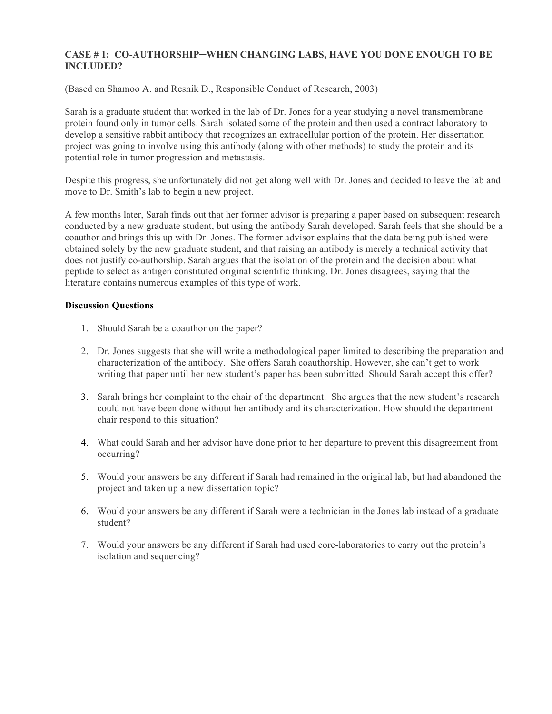## **CASE # 1: CO-AUTHORSHIP─WHEN CHANGING LABS, HAVE YOU DONE ENOUGH TO BE INCLUDED?**

(Based on Shamoo A. and Resnik D., Responsible Conduct of Research, 2003)

Sarah is a graduate student that worked in the lab of Dr. Jones for a year studying a novel transmembrane protein found only in tumor cells. Sarah isolated some of the protein and then used a contract laboratory to develop a sensitive rabbit antibody that recognizes an extracellular portion of the protein. Her dissertation project was going to involve using this antibody (along with other methods) to study the protein and its potential role in tumor progression and metastasis.

Despite this progress, she unfortunately did not get along well with Dr. Jones and decided to leave the lab and move to Dr. Smith's lab to begin a new project.

A few months later, Sarah finds out that her former advisor is preparing a paper based on subsequent research conducted by a new graduate student, but using the antibody Sarah developed. Sarah feels that she should be a coauthor and brings this up with Dr. Jones. The former advisor explains that the data being published were obtained solely by the new graduate student, and that raising an antibody is merely a technical activity that does not justify co-authorship. Sarah argues that the isolation of the protein and the decision about what peptide to select as antigen constituted original scientific thinking. Dr. Jones disagrees, saying that the literature contains numerous examples of this type of work.

### **Discussion Questions**

- 1. Should Sarah be a coauthor on the paper?
- 2. Dr. Jones suggests that she will write a methodological paper limited to describing the preparation and characterization of the antibody. She offers Sarah coauthorship. However, she can't get to work writing that paper until her new student's paper has been submitted. Should Sarah accept this offer?
- 3. Sarah brings her complaint to the chair of the department. She argues that the new student's research could not have been done without her antibody and its characterization. How should the department chair respond to this situation?
- 4. What could Sarah and her advisor have done prior to her departure to prevent this disagreement from occurring?
- 5. Would your answers be any different if Sarah had remained in the original lab, but had abandoned the project and taken up a new dissertation topic?
- 6. Would your answers be any different if Sarah were a technician in the Jones lab instead of a graduate student?
- 7. Would your answers be any different if Sarah had used core-laboratories to carry out the protein's isolation and sequencing?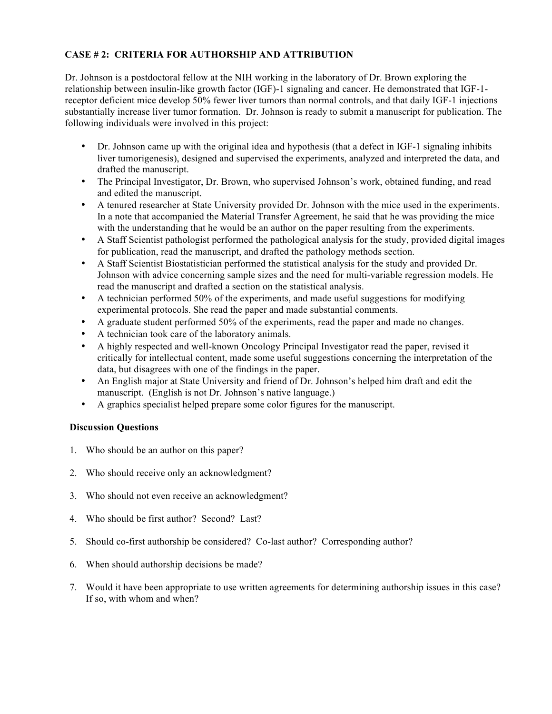# **CASE # 2: CRITERIA FOR AUTHORSHIP AND ATTRIBUTION**

Dr. Johnson is a postdoctoral fellow at the NIH working in the laboratory of Dr. Brown exploring the relationship between insulin-like growth factor (IGF)-1 signaling and cancer. He demonstrated that IGF-1 receptor deficient mice develop 50% fewer liver tumors than normal controls, and that daily IGF-1 injections substantially increase liver tumor formation. Dr. Johnson is ready to submit a manuscript for publication. The following individuals were involved in this project:

- Dr. Johnson came up with the original idea and hypothesis (that a defect in IGF-1 signaling inhibits liver tumorigenesis), designed and supervised the experiments, analyzed and interpreted the data, and drafted the manuscript.
- The Principal Investigator, Dr. Brown, who supervised Johnson's work, obtained funding, and read and edited the manuscript.
- A tenured researcher at State University provided Dr. Johnson with the mice used in the experiments. In a note that accompanied the Material Transfer Agreement, he said that he was providing the mice with the understanding that he would be an author on the paper resulting from the experiments.
- A Staff Scientist pathologist performed the pathological analysis for the study, provided digital images for publication, read the manuscript, and drafted the pathology methods section.
- A Staff Scientist Biostatistician performed the statistical analysis for the study and provided Dr. Johnson with advice concerning sample sizes and the need for multi-variable regression models. He read the manuscript and drafted a section on the statistical analysis.
- A technician performed 50% of the experiments, and made useful suggestions for modifying experimental protocols. She read the paper and made substantial comments.
- A graduate student performed 50% of the experiments, read the paper and made no changes.
- A technician took care of the laboratory animals.
- A highly respected and well-known Oncology Principal Investigator read the paper, revised it critically for intellectual content, made some useful suggestions concerning the interpretation of the data, but disagrees with one of the findings in the paper.
- An English major at State University and friend of Dr. Johnson's helped him draft and edit the manuscript. (English is not Dr. Johnson's native language.)
- A graphics specialist helped prepare some color figures for the manuscript.

# **Discussion Questions**

- 1. Who should be an author on this paper?
- 2. Who should receive only an acknowledgment?
- 3. Who should not even receive an acknowledgment?
- 4. Who should be first author? Second? Last?
- 5. Should co-first authorship be considered? Co-last author? Corresponding author?
- 6. When should authorship decisions be made?
- 7. Would it have been appropriate to use written agreements for determining authorship issues in this case? If so, with whom and when?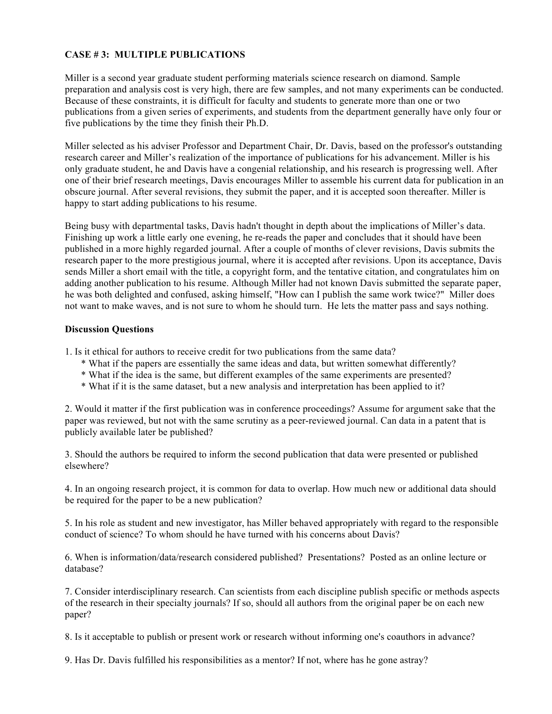# **CASE # 3: MULTIPLE PUBLICATIONS**

Miller is a second year graduate student performing materials science research on diamond. Sample preparation and analysis cost is very high, there are few samples, and not many experiments can be conducted. Because of these constraints, it is difficult for faculty and students to generate more than one or two publications from a given series of experiments, and students from the department generally have only four or five publications by the time they finish their Ph.D.

Miller selected as his adviser Professor and Department Chair, Dr. Davis, based on the professor's outstanding research career and Miller's realization of the importance of publications for his advancement. Miller is his only graduate student, he and Davis have a congenial relationship, and his research is progressing well. After one of their brief research meetings, Davis encourages Miller to assemble his current data for publication in an obscure journal. After several revisions, they submit the paper, and it is accepted soon thereafter. Miller is happy to start adding publications to his resume.

Being busy with departmental tasks, Davis hadn't thought in depth about the implications of Miller's data. Finishing up work a little early one evening, he re-reads the paper and concludes that it should have been published in a more highly regarded journal. After a couple of months of clever revisions, Davis submits the research paper to the more prestigious journal, where it is accepted after revisions. Upon its acceptance, Davis sends Miller a short email with the title, a copyright form, and the tentative citation, and congratulates him on adding another publication to his resume. Although Miller had not known Davis submitted the separate paper, he was both delighted and confused, asking himself, "How can I publish the same work twice?" Miller does not want to make waves, and is not sure to whom he should turn. He lets the matter pass and says nothing.

### **Discussion Questions**

1. Is it ethical for authors to receive credit for two publications from the same data?

- \* What if the papers are essentially the same ideas and data, but written somewhat differently?
- \* What if the idea is the same, but different examples of the same experiments are presented?
- \* What if it is the same dataset, but a new analysis and interpretation has been applied to it?

2. Would it matter if the first publication was in conference proceedings? Assume for argument sake that the paper was reviewed, but not with the same scrutiny as a peer-reviewed journal. Can data in a patent that is publicly available later be published?

3. Should the authors be required to inform the second publication that data were presented or published elsewhere?

4. In an ongoing research project, it is common for data to overlap. How much new or additional data should be required for the paper to be a new publication?

5. In his role as student and new investigator, has Miller behaved appropriately with regard to the responsible conduct of science? To whom should he have turned with his concerns about Davis?

6. When is information/data/research considered published? Presentations? Posted as an online lecture or database?

7. Consider interdisciplinary research. Can scientists from each discipline publish specific or methods aspects of the research in their specialty journals? If so, should all authors from the original paper be on each new paper?

8. Is it acceptable to publish or present work or research without informing one's coauthors in advance?

9. Has Dr. Davis fulfilled his responsibilities as a mentor? If not, where has he gone astray?